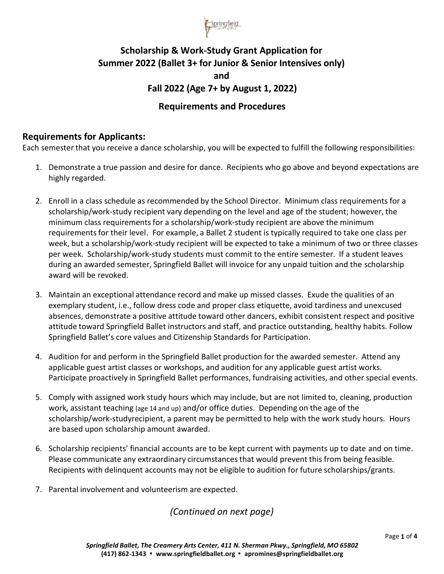

# **Scholarship & Work-Study Grant Application for Summer 2022 (Ballet 3+ for Junior & Senior Intensives only) and Fall 2022 (Age 7+ by August 1, 2022)**

## **Requirements and Procedures**

## **Requirements for Applicants:**

Each semester that you receive a dance scholarship, you will be expected to fulfill the following responsibilities:

- 1. Demonstrate a true passion and desire for dance. Recipients who go above and beyond expectations are highly regarded.
- 2. Enroll in a class schedule as recommended by the School Director. Minimum class requirements for a scholarship/work-study recipient vary depending on the level and age of the student; however, the minimum class requirementsfor a scholarship/work-study recipient are above the minimum requirementsfor their level. For example, a Ballet 2 student is typically required to take one class per week, but a scholarship/work-study recipient will be expected to take a minimum of two or three classes per week. Scholarship/work-study students must commit to the entire semester. If a student leaves during an awarded semester, Springfield Ballet will invoice for any unpaid tuition and the scholarship award will be revoked.
- 3. Maintain an exceptional attendance record and make up missed classes. Exude the qualities of an exemplary student, i.e., follow dress code and proper class etiquette, avoid tardiness and unexcused absences, demonstrate a positive attitude toward other dancers, exhibit consistent respect and positive attitude toward Springfield Ballet instructors and staff, and practice outstanding, healthy habits. Follow Springfield Ballet's core values and Citizenship Standards for Participation.
- 4. Audition for and perform in the Springfield Ballet production for the awarded semester. Attend any applicable guest artist classes or workshops, and audition for any applicable guest artist works. Participate proactively in Springfield Ballet performances, fundraising activities, and other special events.
- 5. Comply with assigned work study hours which may include, but are not limited to, cleaning, production work, assistant teaching (age 14 and up) and/or office duties. Depending on the age of the scholarship/work-studyrecipient, a parent may be permitted to help with the work study hours. Hours are based upon scholarship amount awarded.
- 6. Scholarship recipients' financial accounts are to be kept current with payments up to date and on time. Please communicate any extraordinary circumstances that would prevent this from being feasible. Recipients with delinquent accounts may not be eligible to audition for future scholarships/grants.
- 7. Parental involvement and volunteerism are expected.

*(Continued on next page)*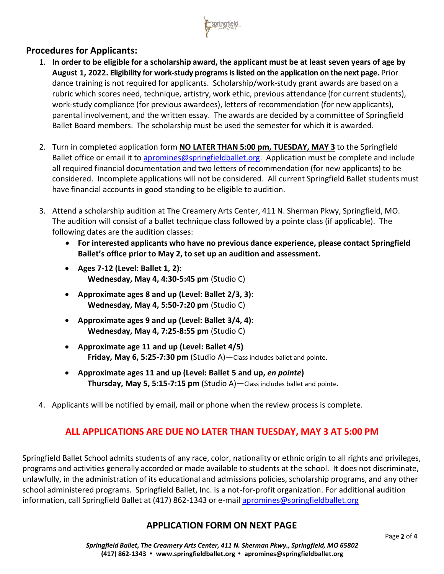

## **Procedures for Applicants:**

- 1. In order to be eligible for a scholarship award, the applicant must be at least seven years of age by **August 1, 2022. Eligibility for work-study programs is listed on the application on the next page.** Prior dance training is not required for applicants. Scholarship/work-study grant awards are based on a rubric which scores need, technique, artistry, work ethic, previous attendance (for current students), work-study compliance (for previous awardees), letters of recommendation (for new applicants), parental involvement, and the written essay. The awards are decided by a committee of Springfield Ballet Board members. The scholarship must be used the semester for which it is awarded.
- 2. Turn in completed application form **NO LATER THAN 5:00 pm, TUESDAY, MAY 3** to the Springfield Ballet office or email it to [apromines@springfieldballet.org.](mailto:apromines@springfieldballet.org) Application must be complete and include all required financial documentation and two letters of recommendation (for new applicants) to be considered. Incomplete applications will not be considered. All current Springfield Ballet students must have financial accounts in good standing to be eligible to audition.
- 3. Attend a scholarship audition at The Creamery Arts Center, 411 N. Sherman Pkwy, Springfield, MO. The audition will consist of a ballet technique class followed by a pointe class (if applicable). The following dates are the audition classes:
	- **For interested applicants who have no previous dance experience, please contact Springfield Ballet's office prior to May 2, to set up an audition and assessment.**
	- **Ages 7-12 (Level: Ballet 1, 2): Wednesday, May 4, 4:30-5:45 pm** (Studio C)
	- **Approximate ages 8 and up (Level: Ballet 2/3, 3): Wednesday, May 4, 5:50-7:20 pm** (Studio C)
	- **Approximate ages 9 and up (Level: Ballet 3/4, 4): Wednesday, May 4, 7:25-8:55 pm** (Studio C)
	- **Approximate age 11 and up (Level: Ballet 4/5) Friday, May 6, 5:25-7:30 pm** (Studio A)—Class includes ballet and pointe.
	- **Approximate ages 11 and up (Level: Ballet 5 and up,** *en pointe***) Thursday, May 5, 5:15-7:15 pm** (Studio A)—Class includes ballet and pointe.
- 4. Applicants will be notified by email, mail or phone when the review process is complete.

## **ALL APPLICATIONS ARE DUE NO LATER THAN TUESDAY, MAY 3 AT 5:00 PM**

Springfield Ballet School admits students of any race, color, nationality or ethnic origin to all rights and privileges, programs and activities generally accorded or made available to students at the school. It does not discriminate, unlawfully, in the administration of its educational and admissions policies, scholarship programs, and any other school administered programs. Springfield Ballet, Inc. is a not-for-profit organization. For additional audition information, call Springfield Ballet at (417) 862-1343 or e-mail [apromines@springfieldballet.org](mailto:apromines@springfieldballet.org)

## **APPLICATION FORM ON NEXT PAGE**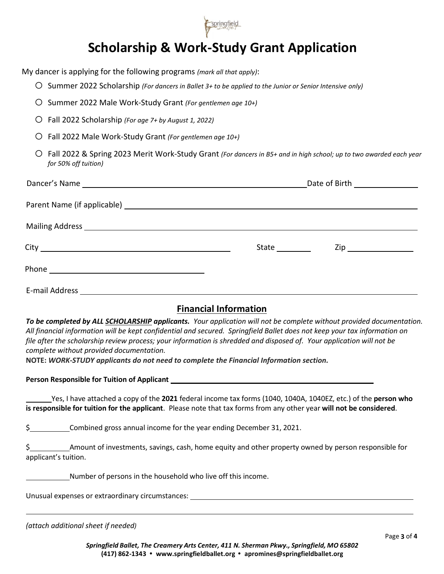

# **Scholarship & Work-Study Grant Application**

My dancer is applying for the following programs *(mark all that apply)*:

- o Summer 2022 Scholarship *(For dancers in Ballet 3+ to be applied to the Junior or Senior Intensive only)*
- o Summer 2022 Male Work-Study Grant *(For gentlemen age 10+)*
- o Fall 2022 Scholarship *(For age 7+ by August 1, 2022)*
- o Fall 2022 Male Work-Study Grant *(For gentlemen age 10+)*
- o Fall 2022 & Spring 2023 Merit Work-Study Grant *(For dancers in B5+ and in high school; up to two awarded each year for 50% off tuition)*

| Date of Birth _________________                                                |  |  |
|--------------------------------------------------------------------------------|--|--|
|                                                                                |  |  |
|                                                                                |  |  |
| <b>State State</b><br>$\mathsf{Zip} \hspace{0.5cm} \underline{\hspace{1.5cm}}$ |  |  |
|                                                                                |  |  |
|                                                                                |  |  |

## **Financial Information**

*To be completed by ALL SCHOLARSHIP applicants. Your application will not be complete without provided documentation. All financial information will be kept confidential and secured. Springfield Ballet does not keep your tax information on file after the scholarship review process; your information is shredded and disposed of. Your application will not be complete without provided documentation.*

**NOTE:** *WORK-STUDY applicants do not need to complete the Financial Information section.*

**Person Responsible for Tuition of Applicant**

Yes, I have attached a copy of the **2021** federal income tax forms (1040, 1040A, 1040EZ, etc.) of the **person who is responsible for tuition for the applicant**. Please note that tax forms from any other year **will not be considered**.

\$ Combined gross annual income for the year ending December 31, 2021.

\$ Amount of investments, savings, cash, home equity and other property owned by person responsible for applicant's tuition.

Number of persons in the household who live off this income.

Unusual expenses or extraordinary circumstances:

*(attach additional sheet if needed)*